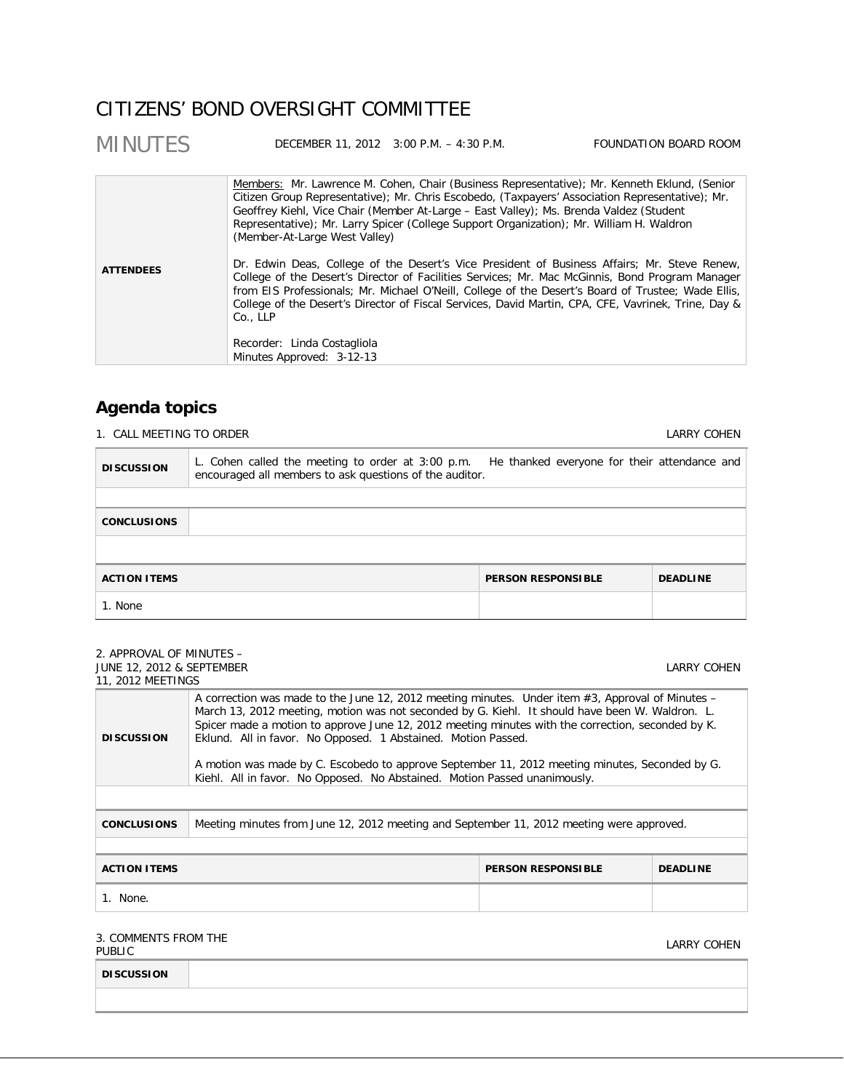# CITIZENS' BOND OVERSIGHT COMMITTEE

| Members: Mr. Lawrence M. Cohen, Chair (Business Representative); Mr. Kenneth Eklund, (Senior<br>Citizen Group Representative); Mr. Chris Escobedo, (Taxpayers' Association Representative); Mr.<br>Geoffrey Kiehl, Vice Chair (Member At-Large - East Valley); Ms. Brenda Valdez (Student<br>Representative); Mr. Larry Spicer (College Support Organization); Mr. William H. Waldron<br>(Member-At-Large West Valley)<br>Dr. Edwin Deas, College of the Desert's Vice President of Business Affairs; Mr. Steve Renew,<br><b>ATTENDEES</b><br>College of the Desert's Director of Facilities Services; Mr. Mac McGinnis, Bond Program Manager<br>from EIS Professionals; Mr. Michael O'Neill, College of the Desert's Board of Trustee; Wade Ellis,<br>College of the Desert's Director of Fiscal Services, David Martin, CPA, CFE, Vavrinek, Trine, Day &<br>Co., LLP<br>Recorder: Linda Costagliola<br>Minutes Approved: 3-12-13 |  |
|------------------------------------------------------------------------------------------------------------------------------------------------------------------------------------------------------------------------------------------------------------------------------------------------------------------------------------------------------------------------------------------------------------------------------------------------------------------------------------------------------------------------------------------------------------------------------------------------------------------------------------------------------------------------------------------------------------------------------------------------------------------------------------------------------------------------------------------------------------------------------------------------------------------------------------|--|

# **Agenda topics**

1. CALL MEETING TO ORDER **LARRY COHEN** 

| <b>DISCUSSION</b>   | L. Cohen called the meeting to order at 3:00 p.m. He thanked everyone for their attendance and<br>encouraged all members to ask questions of the auditor. |                           |  |                 |  |
|---------------------|-----------------------------------------------------------------------------------------------------------------------------------------------------------|---------------------------|--|-----------------|--|
|                     |                                                                                                                                                           |                           |  |                 |  |
| <b>CONCLUSIONS</b>  |                                                                                                                                                           |                           |  |                 |  |
|                     |                                                                                                                                                           |                           |  |                 |  |
| <b>ACTION ITEMS</b> |                                                                                                                                                           | <b>PERSON RESPONSIBLE</b> |  | <b>DEADLINE</b> |  |
| 1. None             |                                                                                                                                                           |                           |  |                 |  |

| 2. APPROVAL OF MINUTES -                                                                                                                                                                                                                                                                                                                                                                                                                                                                                                                                                         |                                                                                          |             |  |  |
|----------------------------------------------------------------------------------------------------------------------------------------------------------------------------------------------------------------------------------------------------------------------------------------------------------------------------------------------------------------------------------------------------------------------------------------------------------------------------------------------------------------------------------------------------------------------------------|------------------------------------------------------------------------------------------|-------------|--|--|
| <b>JUNE 12, 2012 &amp; SEPTEMBER</b>                                                                                                                                                                                                                                                                                                                                                                                                                                                                                                                                             |                                                                                          | LARRY COHEN |  |  |
|                                                                                                                                                                                                                                                                                                                                                                                                                                                                                                                                                                                  | 11, 2012 MEETINGS                                                                        |             |  |  |
| A correction was made to the June 12, 2012 meeting minutes. Under item $#3$ , Approval of Minutes –<br>March 13, 2012 meeting, motion was not seconded by G. Kiehl. It should have been W. Waldron. L.<br>Spicer made a motion to approve June 12, 2012 meeting minutes with the correction, seconded by K.<br>Eklund. All in favor. No Opposed. 1 Abstained. Motion Passed.<br><b>DISCUSSION</b><br>A motion was made by C. Escobedo to approve September 11, 2012 meeting minutes, Seconded by G.<br>Kiehl. All in favor. No Opposed. No Abstained. Motion Passed unanimously. |                                                                                          |             |  |  |
|                                                                                                                                                                                                                                                                                                                                                                                                                                                                                                                                                                                  |                                                                                          |             |  |  |
| <b>CONCLUSIONS</b>                                                                                                                                                                                                                                                                                                                                                                                                                                                                                                                                                               | Meeting minutes from June 12, 2012 meeting and September 11, 2012 meeting were approved. |             |  |  |
|                                                                                                                                                                                                                                                                                                                                                                                                                                                                                                                                                                                  |                                                                                          |             |  |  |
| <b>ACTION ITEMS</b><br><b>PERSON RESPONSIBLE</b><br><b>DEADLINE</b>                                                                                                                                                                                                                                                                                                                                                                                                                                                                                                              |                                                                                          |             |  |  |
| 1. None.                                                                                                                                                                                                                                                                                                                                                                                                                                                                                                                                                                         |                                                                                          |             |  |  |
|                                                                                                                                                                                                                                                                                                                                                                                                                                                                                                                                                                                  |                                                                                          |             |  |  |

### 3. COMMENTS FROM THE SUS COMMENTS TROM THE SUBSEX OF RESERVE ON A SUBSEX OF RESERVE OF RESERVE OF RESERVE OF RESERVE OF RESERVE OF R<br>PUBLIC

| <b>DISCUSSION</b> |  |  |
|-------------------|--|--|
|                   |  |  |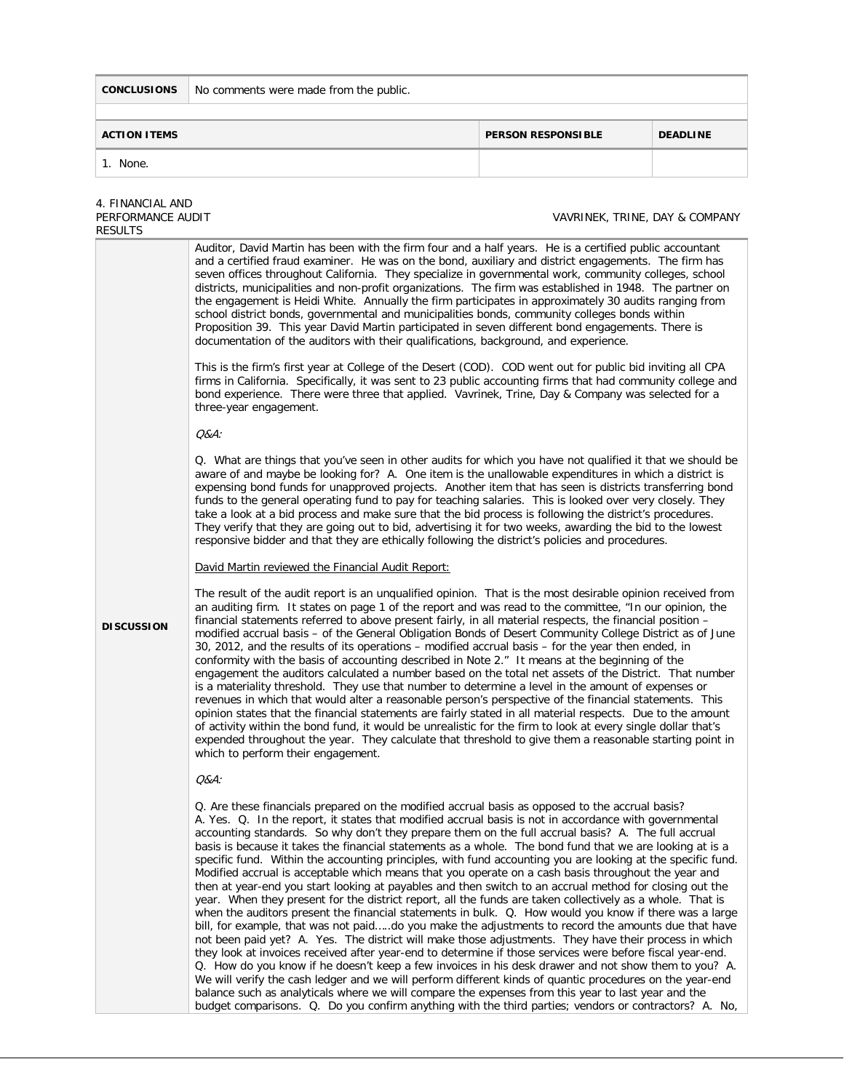**CONCLUSIONS** No comments were made from the public.

**ACTION ITEMS PERSON RESPONSIBLE DEADLINE**

| 1. None.                                         |                                                                                                                                                                                                                                                                                                                                                                                                                                                                                                                                                                                                                                                                                                                                                                                                                                                                                                                                                                                                                                                                                                                                                                                                                                                                                                                                                                                                                                                                                                                                                                                                                                                                                                                                                      |                                |  |  |  |
|--------------------------------------------------|------------------------------------------------------------------------------------------------------------------------------------------------------------------------------------------------------------------------------------------------------------------------------------------------------------------------------------------------------------------------------------------------------------------------------------------------------------------------------------------------------------------------------------------------------------------------------------------------------------------------------------------------------------------------------------------------------------------------------------------------------------------------------------------------------------------------------------------------------------------------------------------------------------------------------------------------------------------------------------------------------------------------------------------------------------------------------------------------------------------------------------------------------------------------------------------------------------------------------------------------------------------------------------------------------------------------------------------------------------------------------------------------------------------------------------------------------------------------------------------------------------------------------------------------------------------------------------------------------------------------------------------------------------------------------------------------------------------------------------------------------|--------------------------------|--|--|--|
| 4. FINANCIAL AND<br>PERFORMANCE AUDIT<br>RESULTS |                                                                                                                                                                                                                                                                                                                                                                                                                                                                                                                                                                                                                                                                                                                                                                                                                                                                                                                                                                                                                                                                                                                                                                                                                                                                                                                                                                                                                                                                                                                                                                                                                                                                                                                                                      | VAVRINEK, TRINE, DAY & COMPANY |  |  |  |
|                                                  | Auditor, David Martin has been with the firm four and a half years. He is a certified public accountant<br>and a certified fraud examiner. He was on the bond, auxiliary and district engagements. The firm has<br>seven offices throughout California. They specialize in governmental work, community colleges, school<br>districts, municipalities and non-profit organizations. The firm was established in 1948. The partner on<br>the engagement is Heidi White. Annually the firm participates in approximately 30 audits ranging from<br>school district bonds, governmental and municipalities bonds, community colleges bonds within<br>Proposition 39. This year David Martin participated in seven different bond engagements. There is<br>documentation of the auditors with their qualifications, background, and experience.<br>This is the firm's first year at College of the Desert (COD). COD went out for public bid inviting all CPA                                                                                                                                                                                                                                                                                                                                                                                                                                                                                                                                                                                                                                                                                                                                                                                            |                                |  |  |  |
|                                                  | firms in California. Specifically, it was sent to 23 public accounting firms that had community college and<br>bond experience. There were three that applied. Vavrinek, Trine, Day & Company was selected for a<br>three-year engagement.                                                                                                                                                                                                                                                                                                                                                                                                                                                                                                                                                                                                                                                                                                                                                                                                                                                                                                                                                                                                                                                                                                                                                                                                                                                                                                                                                                                                                                                                                                           |                                |  |  |  |
|                                                  | $Q&A$ :                                                                                                                                                                                                                                                                                                                                                                                                                                                                                                                                                                                                                                                                                                                                                                                                                                                                                                                                                                                                                                                                                                                                                                                                                                                                                                                                                                                                                                                                                                                                                                                                                                                                                                                                              |                                |  |  |  |
|                                                  | Q. What are things that you've seen in other audits for which you have not qualified it that we should be<br>aware of and maybe be looking for? A. One item is the unallowable expenditures in which a district is<br>expensing bond funds for unapproved projects. Another item that has seen is districts transferring bond<br>funds to the general operating fund to pay for teaching salaries. This is looked over very closely. They<br>take a look at a bid process and make sure that the bid process is following the district's procedures.<br>They verify that they are going out to bid, advertising it for two weeks, awarding the bid to the lowest<br>responsive bidder and that they are ethically following the district's policies and procedures.                                                                                                                                                                                                                                                                                                                                                                                                                                                                                                                                                                                                                                                                                                                                                                                                                                                                                                                                                                                  |                                |  |  |  |
|                                                  | David Martin reviewed the Financial Audit Report:                                                                                                                                                                                                                                                                                                                                                                                                                                                                                                                                                                                                                                                                                                                                                                                                                                                                                                                                                                                                                                                                                                                                                                                                                                                                                                                                                                                                                                                                                                                                                                                                                                                                                                    |                                |  |  |  |
| <b>DISCUSSION</b>                                | The result of the audit report is an unqualified opinion. That is the most desirable opinion received from<br>an auditing firm. It states on page 1 of the report and was read to the committee, "In our opinion, the<br>financial statements referred to above present fairly, in all material respects, the financial position -<br>modified accrual basis - of the General Obligation Bonds of Desert Community College District as of June<br>30, 2012, and the results of its operations - modified accrual basis - for the year then ended, in<br>conformity with the basis of accounting described in Note 2." It means at the beginning of the<br>engagement the auditors calculated a number based on the total net assets of the District. That number<br>is a materiality threshold. They use that number to determine a level in the amount of expenses or<br>revenues in which that would alter a reasonable person's perspective of the financial statements. This<br>opinion states that the financial statements are fairly stated in all material respects. Due to the amount<br>of activity within the bond fund, it would be unrealistic for the firm to look at every single dollar that's<br>expended throughout the year. They calculate that threshold to give them a reasonable starting point in<br>which to perform their engagement.                                                                                                                                                                                                                                                                                                                                                                                      |                                |  |  |  |
|                                                  | <i>Q&amp;A:</i>                                                                                                                                                                                                                                                                                                                                                                                                                                                                                                                                                                                                                                                                                                                                                                                                                                                                                                                                                                                                                                                                                                                                                                                                                                                                                                                                                                                                                                                                                                                                                                                                                                                                                                                                      |                                |  |  |  |
|                                                  | Q. Are these financials prepared on the modified accrual basis as opposed to the accrual basis?<br>A. Yes. Q. In the report, it states that modified accrual basis is not in accordance with governmental<br>accounting standards. So why don't they prepare them on the full accrual basis? A. The full accrual<br>basis is because it takes the financial statements as a whole. The bond fund that we are looking at is a<br>specific fund. Within the accounting principles, with fund accounting you are looking at the specific fund.<br>Modified accrual is acceptable which means that you operate on a cash basis throughout the year and<br>then at year-end you start looking at payables and then switch to an accrual method for closing out the<br>year. When they present for the district report, all the funds are taken collectively as a whole. That is<br>when the auditors present the financial statements in bulk. Q. How would you know if there was a large<br>bill, for example, that was not paiddo you make the adjustments to record the amounts due that have<br>not been paid yet? A. Yes. The district will make those adjustments. They have their process in which<br>they look at invoices received after year-end to determine if those services were before fiscal year-end.<br>Q. How do you know if he doesn't keep a few invoices in his desk drawer and not show them to you? A.<br>We will verify the cash ledger and we will perform different kinds of quantic procedures on the year-end<br>balance such as analyticals where we will compare the expenses from this year to last year and the<br>budget comparisons. Q. Do you confirm anything with the third parties; vendors or contractors? A. No, |                                |  |  |  |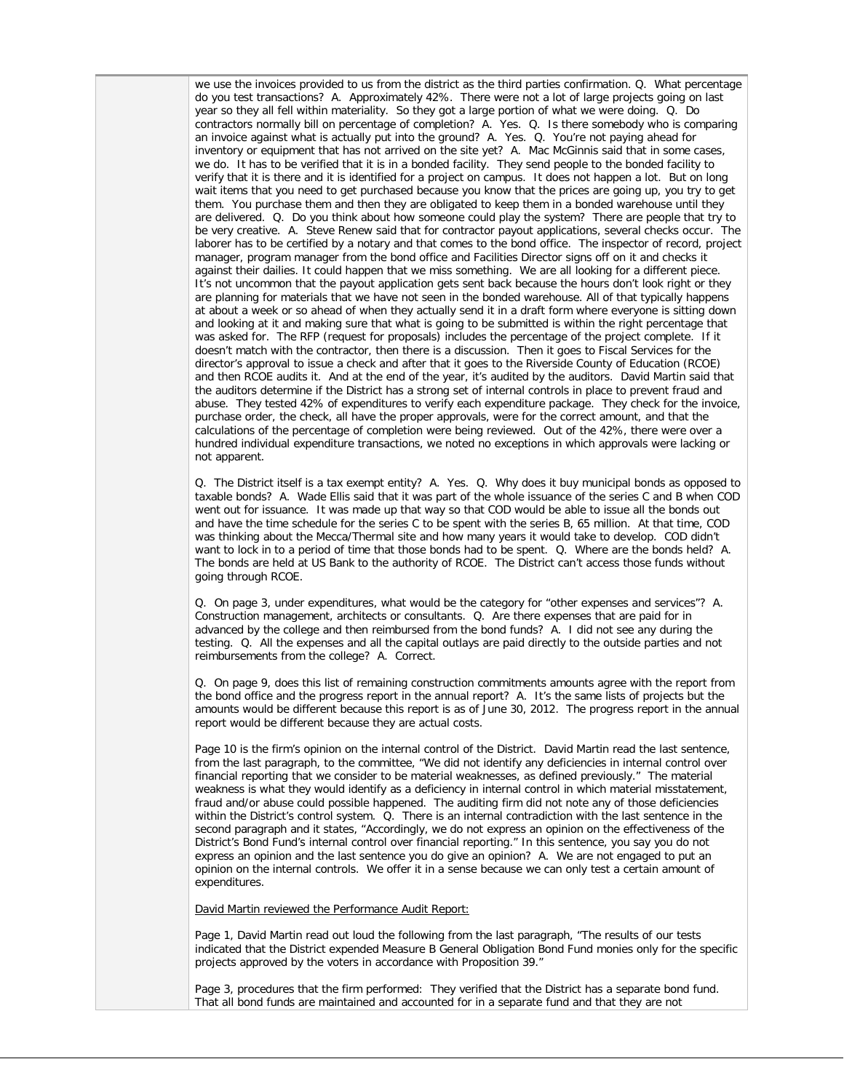we use the invoices provided to us from the district as the third parties confirmation. Q. What percentage do you test transactions? A. Approximately 42%. There were not a lot of large projects going on last year so they all fell within materiality. So they got a large portion of what we were doing. Q. Do contractors normally bill on percentage of completion? A. Yes. Q. Is there somebody who is comparing an invoice against what is actually put into the ground? A. Yes. Q. You're not paying ahead for inventory or equipment that has not arrived on the site yet? A. Mac McGinnis said that in some cases, we do. It has to be verified that it is in a bonded facility. They send people to the bonded facility to verify that it is there and it is identified for a project on campus. It does not happen a lot. But on long wait items that you need to get purchased because you know that the prices are going up, you try to get them. You purchase them and then they are obligated to keep them in a bonded warehouse until they are delivered. Q. Do you think about how someone could play the system? There are people that try to be very creative. A. Steve Renew said that for contractor payout applications, several checks occur. The laborer has to be certified by a notary and that comes to the bond office. The inspector of record, project manager, program manager from the bond office and Facilities Director signs off on it and checks it against their dailies. It could happen that we miss something. We are all looking for a different piece. It's not uncommon that the payout application gets sent back because the hours don't look right or they are planning for materials that we have not seen in the bonded warehouse. All of that typically happens at about a week or so ahead of when they actually send it in a draft form where everyone is sitting down and looking at it and making sure that what is going to be submitted is within the right percentage that was asked for. The RFP (request for proposals) includes the percentage of the project complete. If it doesn't match with the contractor, then there is a discussion. Then it goes to Fiscal Services for the director's approval to issue a check and after that it goes to the Riverside County of Education (RCOE) and then RCOE audits it. And at the end of the year, it's audited by the auditors. David Martin said that the auditors determine if the District has a strong set of internal controls in place to prevent fraud and abuse. They tested 42% of expenditures to verify each expenditure package. They check for the invoice, purchase order, the check, all have the proper approvals, were for the correct amount, and that the calculations of the percentage of completion were being reviewed. Out of the 42%, there were over a hundred individual expenditure transactions, we noted no exceptions in which approvals were lacking or not apparent.

Q. The District itself is a tax exempt entity? A. Yes. Q. Why does it buy municipal bonds as opposed to taxable bonds? A. Wade Ellis said that it was part of the whole issuance of the series C and B when COD went out for issuance. It was made up that way so that COD would be able to issue all the bonds out and have the time schedule for the series C to be spent with the series B, 65 million. At that time, COD was thinking about the Mecca/Thermal site and how many years it would take to develop. COD didn't want to lock in to a period of time that those bonds had to be spent. Q. Where are the bonds held? A. The bonds are held at US Bank to the authority of RCOE. The District can't access those funds without going through RCOE.

Q. On page 3, under expenditures, what would be the category for "other expenses and services"? A. Construction management, architects or consultants. Q. Are there expenses that are paid for in advanced by the college and then reimbursed from the bond funds? A. I did not see any during the testing. Q. All the expenses and all the capital outlays are paid directly to the outside parties and not reimbursements from the college? A. Correct.

Q. On page 9, does this list of remaining construction commitments amounts agree with the report from the bond office and the progress report in the annual report? A. It's the same lists of projects but the amounts would be different because this report is as of June 30, 2012. The progress report in the annual report would be different because they are actual costs.

Page 10 is the firm's opinion on the internal control of the District. David Martin read the last sentence, from the last paragraph, to the committee, "We did not identify any deficiencies in internal control over financial reporting that we consider to be material weaknesses, as defined previously." The material weakness is what they would identify as a deficiency in internal control in which material misstatement, fraud and/or abuse could possible happened. The auditing firm did not note any of those deficiencies within the District's control system. Q. There is an internal contradiction with the last sentence in the second paragraph and it states, "Accordingly, we do not express an opinion on the effectiveness of the District's Bond Fund's internal control over financial reporting." In this sentence, you say you do not express an opinion and the last sentence you do give an opinion? A. We are not engaged to put an opinion on the internal controls. We offer it in a sense because we can only test a certain amount of expenditures.

David Martin reviewed the Performance Audit Report:

Page 1, David Martin read out loud the following from the last paragraph, "The results of our tests indicated that the District expended Measure B General Obligation Bond Fund monies only for the specific projects approved by the voters in accordance with Proposition 39."

Page 3, procedures that the firm performed: They verified that the District has a separate bond fund. That all bond funds are maintained and accounted for in a separate fund and that they are not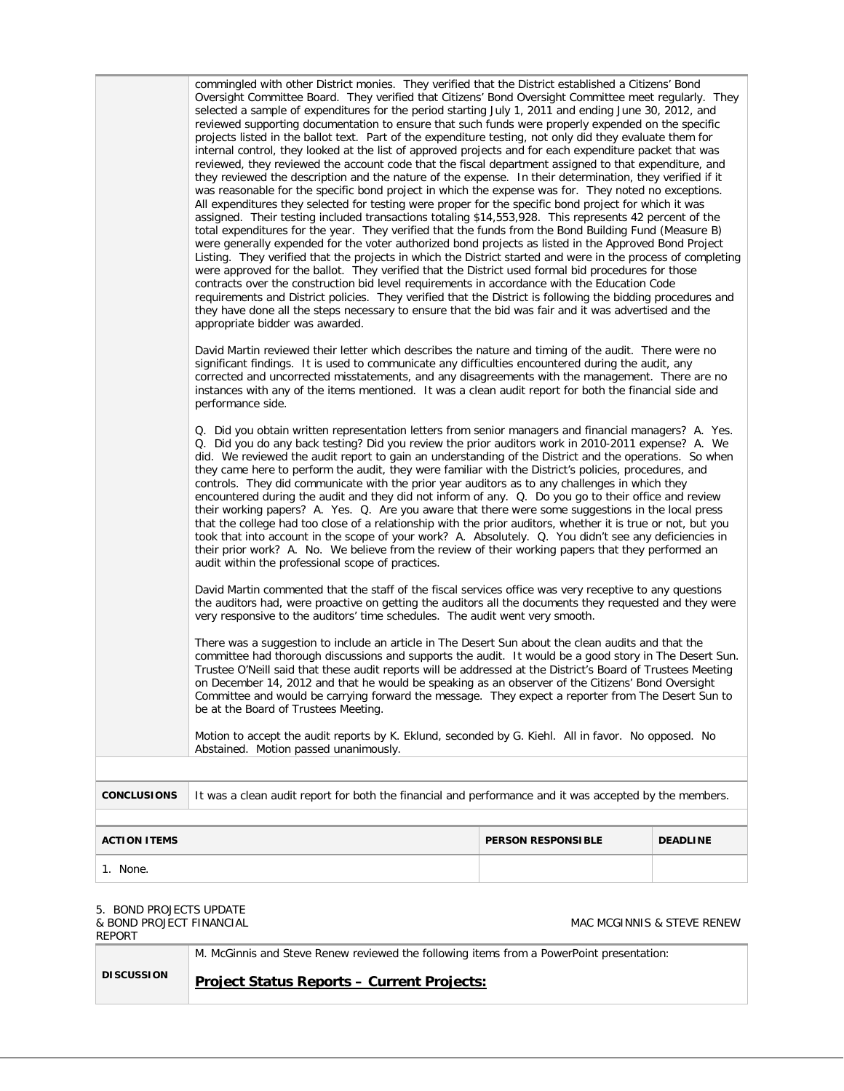|                    | commingled with other District monies. They verified that the District established a Citizens' Bond<br>Oversight Committee Board. They verified that Citizens' Bond Oversight Committee meet regularly. They<br>selected a sample of expenditures for the period starting July 1, 2011 and ending June 30, 2012, and<br>reviewed supporting documentation to ensure that such funds were properly expended on the specific<br>projects listed in the ballot text. Part of the expenditure testing, not only did they evaluate them for<br>internal control, they looked at the list of approved projects and for each expenditure packet that was<br>reviewed, they reviewed the account code that the fiscal department assigned to that expenditure, and<br>they reviewed the description and the nature of the expense. In their determination, they verified if it<br>was reasonable for the specific bond project in which the expense was for. They noted no exceptions.<br>All expenditures they selected for testing were proper for the specific bond project for which it was<br>assigned. Their testing included transactions totaling \$14,553,928. This represents 42 percent of the<br>total expenditures for the year. They verified that the funds from the Bond Building Fund (Measure B)<br>were generally expended for the voter authorized bond projects as listed in the Approved Bond Project<br>Listing. They verified that the projects in which the District started and were in the process of completing<br>were approved for the ballot. They verified that the District used formal bid procedures for those<br>contracts over the construction bid level requirements in accordance with the Education Code<br>requirements and District policies. They verified that the District is following the bidding procedures and<br>they have done all the steps necessary to ensure that the bid was fair and it was advertised and the<br>appropriate bidder was awarded.<br>David Martin reviewed their letter which describes the nature and timing of the audit. There were no<br>significant findings. It is used to communicate any difficulties encountered during the audit, any |
|--------------------|-------------------------------------------------------------------------------------------------------------------------------------------------------------------------------------------------------------------------------------------------------------------------------------------------------------------------------------------------------------------------------------------------------------------------------------------------------------------------------------------------------------------------------------------------------------------------------------------------------------------------------------------------------------------------------------------------------------------------------------------------------------------------------------------------------------------------------------------------------------------------------------------------------------------------------------------------------------------------------------------------------------------------------------------------------------------------------------------------------------------------------------------------------------------------------------------------------------------------------------------------------------------------------------------------------------------------------------------------------------------------------------------------------------------------------------------------------------------------------------------------------------------------------------------------------------------------------------------------------------------------------------------------------------------------------------------------------------------------------------------------------------------------------------------------------------------------------------------------------------------------------------------------------------------------------------------------------------------------------------------------------------------------------------------------------------------------------------------------------------------------------------------------------------------------------------------------------------------|
|                    | corrected and uncorrected misstatements, and any disagreements with the management. There are no<br>instances with any of the items mentioned. It was a clean audit report for both the financial side and<br>performance side.                                                                                                                                                                                                                                                                                                                                                                                                                                                                                                                                                                                                                                                                                                                                                                                                                                                                                                                                                                                                                                                                                                                                                                                                                                                                                                                                                                                                                                                                                                                                                                                                                                                                                                                                                                                                                                                                                                                                                                                   |
|                    | Q. Did you obtain written representation letters from senior managers and financial managers? A. Yes.<br>Q. Did you do any back testing? Did you review the prior auditors work in 2010-2011 expense? A. We<br>did. We reviewed the audit report to gain an understanding of the District and the operations. So when<br>they came here to perform the audit, they were familiar with the District's policies, procedures, and<br>controls. They did communicate with the prior year auditors as to any challenges in which they<br>encountered during the audit and they did not inform of any. Q. Do you go to their office and review<br>their working papers? A. Yes. Q. Are you aware that there were some suggestions in the local press<br>that the college had too close of a relationship with the prior auditors, whether it is true or not, but you<br>took that into account in the scope of your work? A. Absolutely. Q. You didn't see any deficiencies in<br>their prior work? A. No. We believe from the review of their working papers that they performed an<br>audit within the professional scope of practices.                                                                                                                                                                                                                                                                                                                                                                                                                                                                                                                                                                                                                                                                                                                                                                                                                                                                                                                                                                                                                                                                               |
|                    | David Martin commented that the staff of the fiscal services office was very receptive to any questions<br>the auditors had, were proactive on getting the auditors all the documents they requested and they were<br>very responsive to the auditors' time schedules. The audit went very smooth.                                                                                                                                                                                                                                                                                                                                                                                                                                                                                                                                                                                                                                                                                                                                                                                                                                                                                                                                                                                                                                                                                                                                                                                                                                                                                                                                                                                                                                                                                                                                                                                                                                                                                                                                                                                                                                                                                                                |
|                    | There was a suggestion to include an article in The Desert Sun about the clean audits and that the<br>committee had thorough discussions and supports the audit. It would be a good story in The Desert Sun.<br>Trustee O'Neill said that these audit reports will be addressed at the District's Board of Trustees Meeting<br>on December 14, 2012 and that he would be speaking as an observer of the Citizens' Bond Oversight<br>Committee and would be carrying forward the message. They expect a reporter from The Desert Sun to<br>be at the Board of Trustees Meeting.                                                                                                                                                                                                                                                                                                                                                                                                                                                                                                                                                                                                                                                                                                                                                                                                                                                                                                                                                                                                                                                                                                                                                                                                                                                                                                                                                                                                                                                                                                                                                                                                                                    |
|                    | Motion to accept the audit reports by K. Eklund, seconded by G. Kiehl. All in favor. No opposed. No<br>Abstained. Motion passed unanimously.                                                                                                                                                                                                                                                                                                                                                                                                                                                                                                                                                                                                                                                                                                                                                                                                                                                                                                                                                                                                                                                                                                                                                                                                                                                                                                                                                                                                                                                                                                                                                                                                                                                                                                                                                                                                                                                                                                                                                                                                                                                                      |
|                    |                                                                                                                                                                                                                                                                                                                                                                                                                                                                                                                                                                                                                                                                                                                                                                                                                                                                                                                                                                                                                                                                                                                                                                                                                                                                                                                                                                                                                                                                                                                                                                                                                                                                                                                                                                                                                                                                                                                                                                                                                                                                                                                                                                                                                   |
| <b>CONCLUSIONS</b> | It was a clean audit report for both the financial and performance and it was accepted by the members.                                                                                                                                                                                                                                                                                                                                                                                                                                                                                                                                                                                                                                                                                                                                                                                                                                                                                                                                                                                                                                                                                                                                                                                                                                                                                                                                                                                                                                                                                                                                                                                                                                                                                                                                                                                                                                                                                                                                                                                                                                                                                                            |

| <b>ACTION ITEMS</b> | <b>PERSON RESPONSIBLE</b> | <b>DEADLINE</b> |
|---------------------|---------------------------|-----------------|
| None.               |                           |                 |

# 5. BOND PROJECTS UPDATE

# & BOND PROJECT FINANCIAL

REPORT

# MAC MCGINNIS & STEVE RENEW

M. McGinnis and Steve Renew reviewed the following items from a PowerPoint presentation:

# **DISCUSSION**

**Project Status Reports – Current Projects:**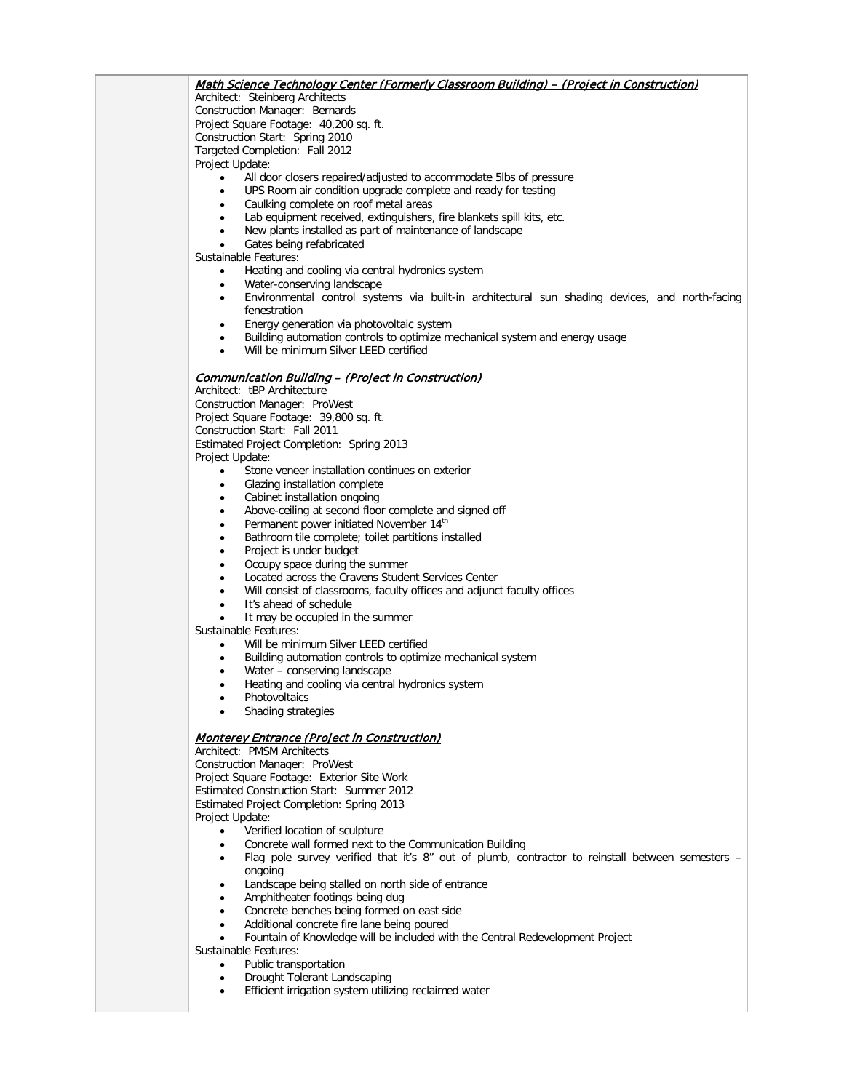# Math Science Technology Center (Formerly Classroom Building) – (Project in Construction)

Architect: Steinberg Architects Construction Manager: Bernards Project Square Footage: 40,200 sq. ft. Construction Start: Spring 2010 Targeted Completion: Fall 2012 Project Update:

- All door closers repaired/adjusted to accommodate 5lbs of pressure
	- UPS Room air condition upgrade complete and ready for testing
- Caulking complete on roof metal areas
- Lab equipment received, extinguishers, fire blankets spill kits, etc.
- New plants installed as part of maintenance of landscape

Gates being refabricated

Sustainable Features:

- Heating and cooling via central hydronics system
- Water-conserving landscape
- Environmental control systems via built-in architectural sun shading devices, and north-facing fenestration
- Energy generation via photovoltaic system
- Building automation controls to optimize mechanical system and energy usage
- Will be minimum Silver LEED certified

## Communication Building – (Project in Construction)

Architect: tBP Architecture Construction Manager: ProWest Project Square Footage: 39,800 sq. ft. Construction Start: Fall 2011 Estimated Project Completion: Spring 2013 Project Update:

- Stone veneer installation continues on exterior
- Glazing installation complete
- Cabinet installation ongoing
- Above-ceiling at second floor complete and signed off
- Permanent power initiated November 14<sup>th</sup>
- Bathroom tile complete; toilet partitions installed
- Project is under budget
- Occupy space during the summer
- Located across the Cravens Student Services Center
- Will consist of classrooms, faculty offices and adjunct faculty offices
- It's ahead of schedule
- It may be occupied in the summer

Sustainable Features:

- Will be minimum Silver LEED certified
- Building automation controls to optimize mechanical system
- Water conserving landscape
- Heating and cooling via central hydronics system
- **Photovoltaics**
- Shading strategies

#### Monterey Entrance (Project in Construction)

Architect: PMSM Architects Construction Manager: ProWest Project Square Footage: Exterior Site Work Estimated Construction Start: Summer 2012 Estimated Project Completion: Spring 2013 Project Update:

- Verified location of sculpture
- Concrete wall formed next to the Communication Building
- Flag pole survey verified that it's 8" out of plumb, contractor to reinstall between semesters ongoing
- Landscape being stalled on north side of entrance
- Amphitheater footings being dug
- Concrete benches being formed on east side
- Additional concrete fire lane being poured
- Fountain of Knowledge will be included with the Central Redevelopment Project
- Sustainable Features:
	- Public transportation
	- Drought Tolerant Landscaping
	- Efficient irrigation system utilizing reclaimed water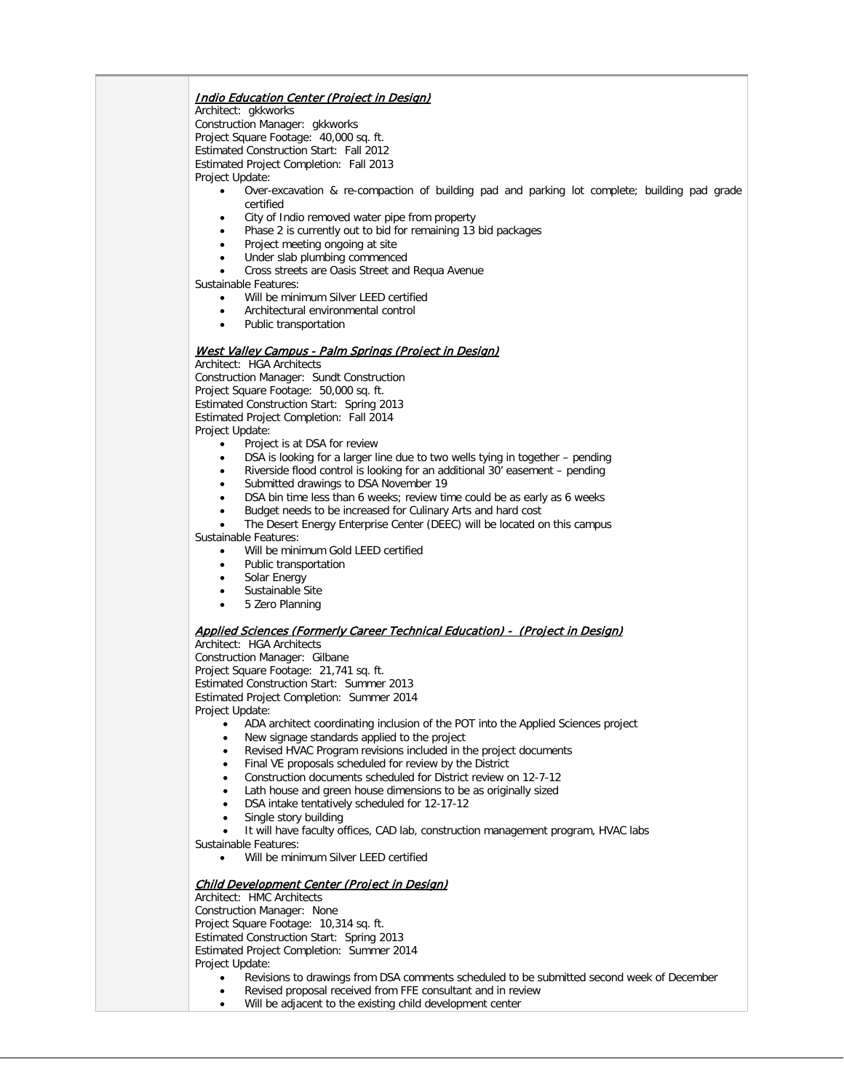## Indio Education Center (Project in Design)

Architect: gkkworks

Construction Manager: gkkworks Project Square Footage: 40,000 sq. ft. Estimated Construction Start: Fall 2012 Estimated Project Completion: Fall 2013 Project Update:

- Over-excavation & re-compaction of building pad and parking lot complete; building pad grade certified
- City of Indio removed water pipe from property
- Phase 2 is currently out to bid for remaining 13 bid packages
- Project meeting ongoing at site
- Under slab plumbing commenced
- Cross streets are Oasis Street and Requa Avenue

Sustainable Features:

- Will be minimum Silver LEED certified
- Architectural environmental control
- Public transportation

# West Valley Campus - Palm Springs (Project in Design)

Architect: HGA Architects Construction Manager: Sundt Construction Project Square Footage: 50,000 sq. ft. Estimated Construction Start: Spring 2013 Estimated Project Completion: Fall 2014 Project Update:

- Project is at DSA for review
- DSA is looking for a larger line due to two wells tying in together pending
- Riverside flood control is looking for an additional 30' easement pending
- Submitted drawings to DSA November 19
- DSA bin time less than 6 weeks; review time could be as early as 6 weeks
- Budget needs to be increased for Culinary Arts and hard cost
- The Desert Energy Enterprise Center (DEEC) will be located on this campus Sustainable Features:
	- Will be minimum Gold LEED certified
	- Public transportation
	- Solar Energy
	- Sustainable Site
	- 5 Zero Planning

# Applied Sciences (Formerly Career Technical Education) - (Project in Design)

Architect: HGA Architects

Construction Manager: Gilbane

Project Square Footage: 21,741 sq. ft.

Estimated Construction Start: Summer 2013

Estimated Project Completion: Summer 2014

# Project Update:

- ADA architect coordinating inclusion of the POT into the Applied Sciences project
- New signage standards applied to the project
- Revised HVAC Program revisions included in the project documents
- Final VE proposals scheduled for review by the District
- Construction documents scheduled for District review on 12-7-12
- Lath house and green house dimensions to be as originally sized
- DSA intake tentatively scheduled for 12-17-12
- Single story building
- It will have faculty offices, CAD lab, construction management program, HVAC labs
- Sustainable Features:
	- Will be minimum Silver LEED certified

# Child Development Center (Project in Design)

Architect: HMC Architects Construction Manager: None Project Square Footage: 10,314 sq. ft. Estimated Construction Start: Spring 2013 Estimated Project Completion: Summer 2014 Project Update:

- Revisions to drawings from DSA comments scheduled to be submitted second week of December
- Revised proposal received from FFE consultant and in review
- Will be adjacent to the existing child development center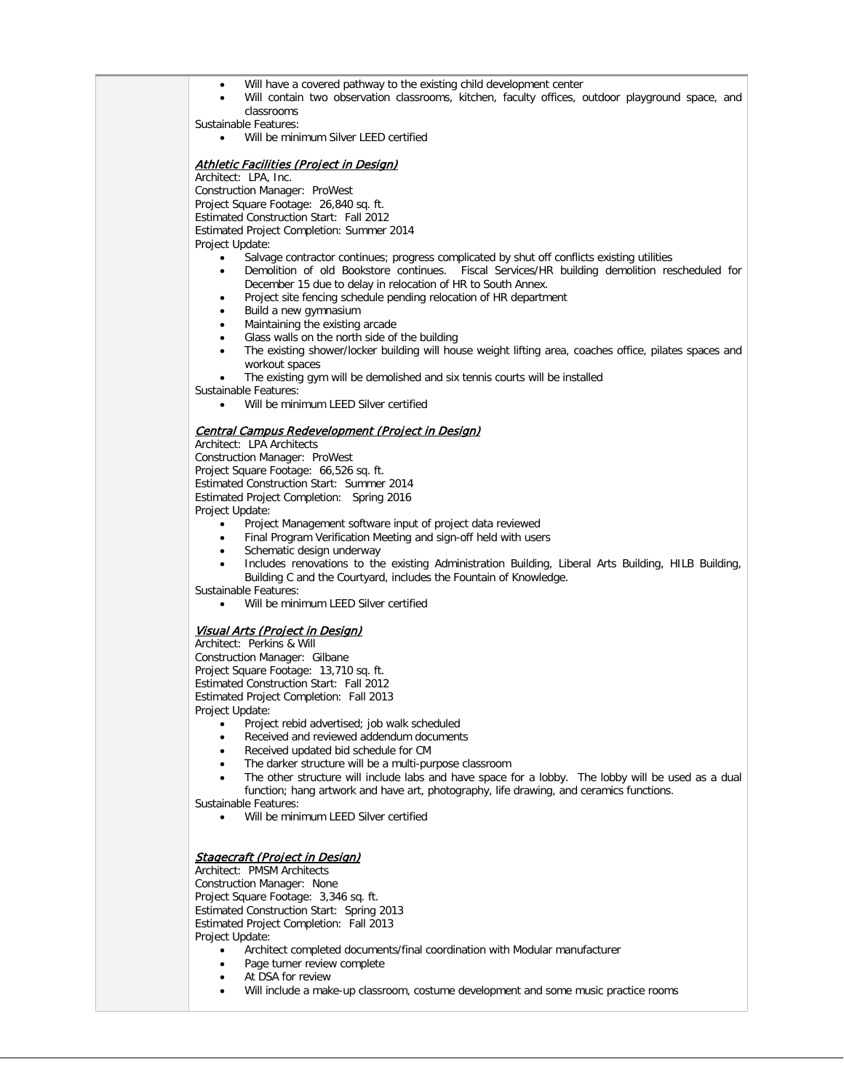- Will have a covered pathway to the existing child development center
- Will contain two observation classrooms, kitchen, faculty offices, outdoor playground space, and classrooms

Sustainable Features:

• Will be minimum Silver LEED certified

## **Athletic Facilities (Project in Design)**

Architect: LPA, Inc. Construction Manager: ProWest Project Square Footage: 26,840 sq. ft. Estimated Construction Start: Fall 2012 Estimated Project Completion: Summer 2014 Project Update:

- Salvage contractor continues; progress complicated by shut off conflicts existing utilities
- Demolition of old Bookstore continues. Fiscal Services/HR building demolition rescheduled for December 15 due to delay in relocation of HR to South Annex.
- Project site fencing schedule pending relocation of HR department
- Build a new gymnasium
- Maintaining the existing arcade
- Glass walls on the north side of the building
- The existing shower/locker building will house weight lifting area, coaches office, pilates spaces and workout spaces
- The existing gym will be demolished and six tennis courts will be installed
- Sustainable Features:

• Will be minimum LEED Silver certified

#### Central Campus Redevelopment (Project in Design)

Architect: LPA Architects Construction Manager: ProWest Project Square Footage: 66,526 sq. ft. Estimated Construction Start: Summer 2014 Estimated Project Completion: Spring 2016 Project Update:

- Project Management software input of project data reviewed
- Final Program Verification Meeting and sign-off held with users
- Schematic design underway
- Includes renovations to the existing Administration Building, Liberal Arts Building, HILB Building, Building C and the Courtyard, includes the Fountain of Knowledge.
- Sustainable Features:
	- Will be minimum LEED Silver certified

## Visual Arts (Project in Design)

Architect: Perkins & Will Construction Manager: Gilbane Project Square Footage: 13,710 sq. ft. Estimated Construction Start: Fall 2012 Estimated Project Completion: Fall 2013 Project Update:

- Project rebid advertised; job walk scheduled
- Received and reviewed addendum documents
- Received updated bid schedule for CM
- The darker structure will be a multi-purpose classroom
- The other structure will include labs and have space for a lobby. The lobby will be used as a dual function; hang artwork and have art, photography, life drawing, and ceramics functions.
- Sustainable Features:
	- Will be minimum LEED Silver certified

## Stagecraft (Project in Design)

Architect: PMSM Architects Construction Manager: None Project Square Footage: 3,346 sq. ft. Estimated Construction Start: Spring 2013 Estimated Project Completion: Fall 2013 Project Update:

- Architect completed documents/final coordination with Modular manufacturer
- Page turner review complete
- At DSA for review
- Will include a make-up classroom, costume development and some music practice rooms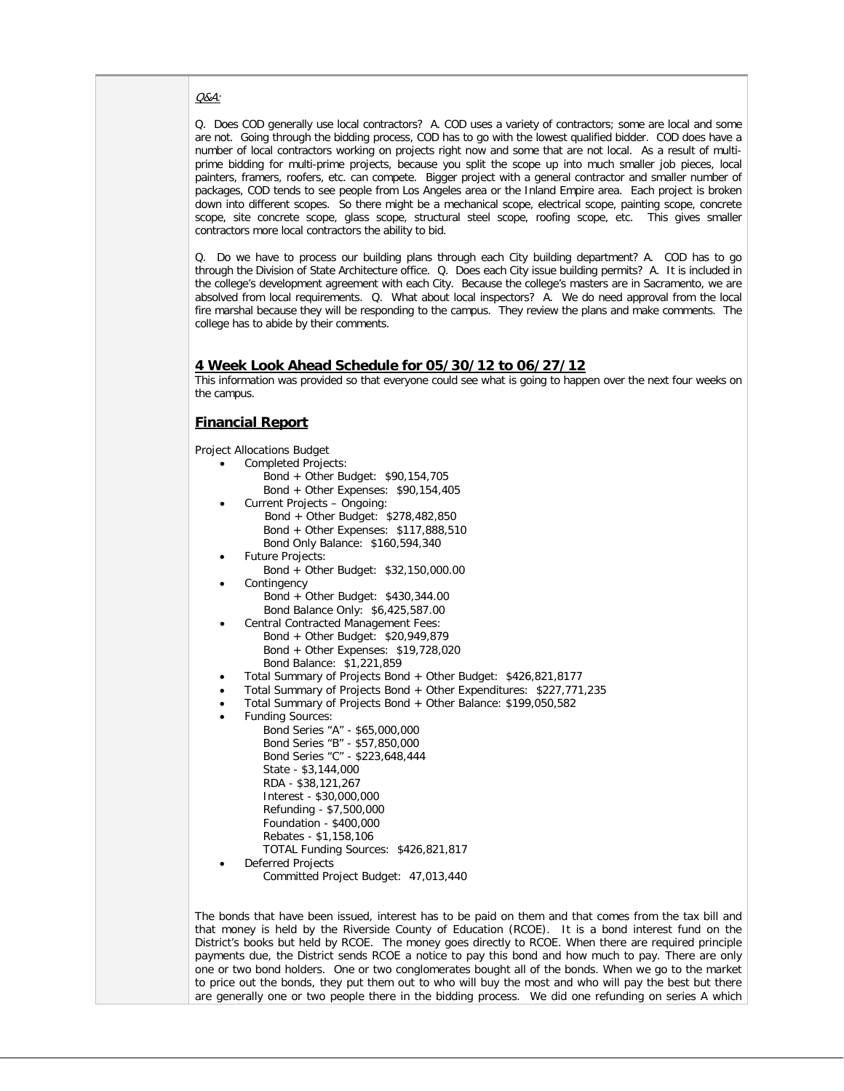#### Q&A:

Q. Does COD generally use local contractors? A. COD uses a variety of contractors; some are local and some are not. Going through the bidding process, COD has to go with the lowest qualified bidder. COD does have a number of local contractors working on projects right now and some that are not local. As a result of multiprime bidding for multi-prime projects, because you split the scope up into much smaller job pieces, local painters, framers, roofers, etc. can compete. Bigger project with a general contractor and smaller number of packages, COD tends to see people from Los Angeles area or the Inland Empire area. Each project is broken down into different scopes. So there might be a mechanical scope, electrical scope, painting scope, concrete scope, site concrete scope, glass scope, structural steel scope, roofing scope, etc. This gives smaller contractors more local contractors the ability to bid.

Q. Do we have to process our building plans through each City building department? A. COD has to go through the Division of State Architecture office. Q. Does each City issue building permits? A. It is included in the college's development agreement with each City. Because the college's masters are in Sacramento, we are absolved from local requirements. Q. What about local inspectors? A. We do need approval from the local fire marshal because they will be responding to the campus. They review the plans and make comments. The college has to abide by their comments.

#### **4 Week Look Ahead Schedule for 05/30/12 to 06/27/12**

This information was provided so that everyone could see what is going to happen over the next four weeks on the campus.

### **Financial Report**

Project Allocations Budget • Completed Projects: Bond + Other Budget: \$90,154,705 Bond + Other Expenses: \$90,154,405 • Current Projects – Ongoing: Bond + Other Budget: \$278,482,850 Bond + Other Expenses: \$117,888,510 Bond Only Balance: \$160,594,340 • Future Projects: Bond + Other Budget: \$32,150,000.00 **Contingency**  Bond + Other Budget: \$430,344.00 Bond Balance Only: \$6,425,587.00 Central Contracted Management Fees: Bond + Other Budget: \$20,949,879 Bond + Other Expenses: \$19,728,020 Bond Balance: \$1,221,859 • Total Summary of Projects Bond + Other Budget: \$426,821,8177 • Total Summary of Projects Bond + Other Expenditures: \$227,771,235 • Total Summary of Projects Bond + Other Balance: \$199,050,582 • Funding Sources: Bond Series "A" - \$65,000,000 Bond Series "B" - \$57,850,000 Bond Series "C" - \$223,648,444 State - \$3,144,000 RDA - \$38,121,267 Interest - \$30,000,000 Refunding - \$7,500,000 Foundation - \$400,000 Rebates - \$1,158,106 TOTAL Funding Sources: \$426,821,817 • Deferred Projects Committed Project Budget: 47,013,440 The bonds that have been issued, interest has to be paid on them and that comes from the tax bill and that money is held by the Riverside County of Education (RCOE). It is a bond interest fund on the District's books but held by RCOE. The money goes directly to RCOE. When there are required principle payments due, the District sends RCOE a notice to pay this bond and how much to pay. There are only one or two bond holders. One or two conglomerates bought all of the bonds. When we go to the market

to price out the bonds, they put them out to who will buy the most and who will pay the best but there are generally one or two people there in the bidding process. We did one refunding on series A which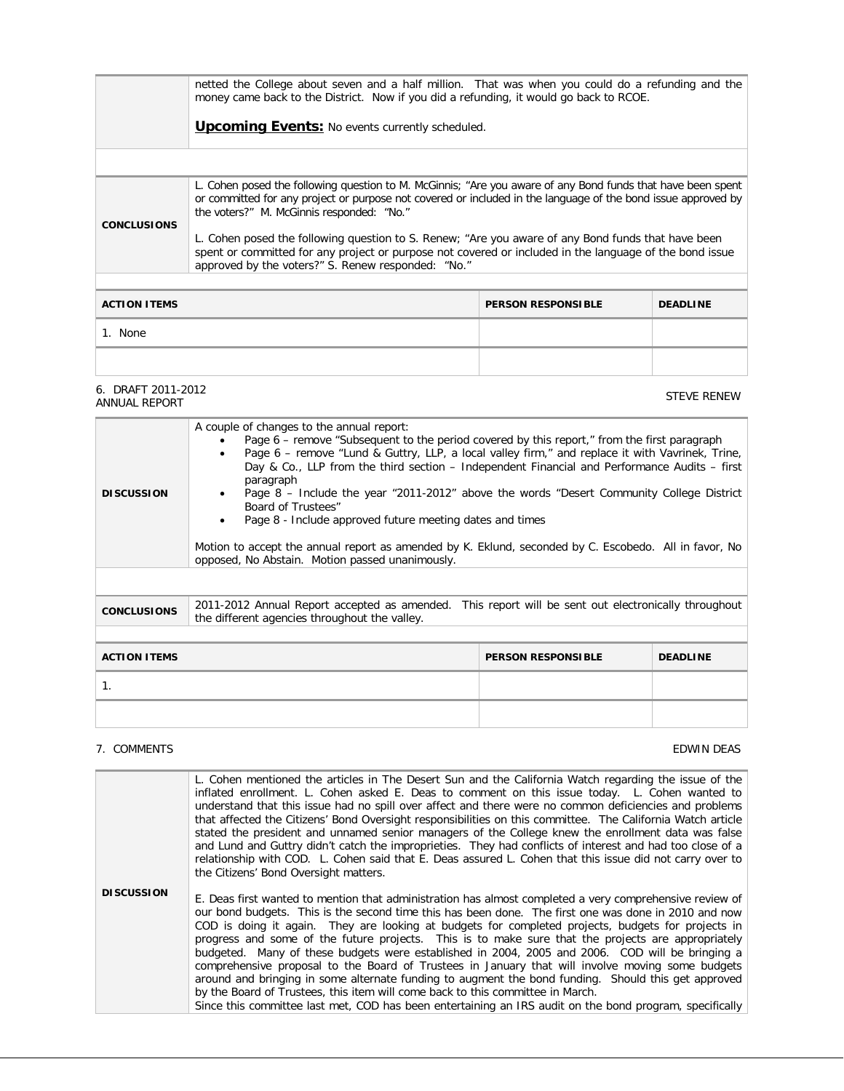|                                                                                                                                                                                                                                                                                                                                                                                                                                                                                                                                                                        | netted the College about seven and a half million. That was when you could do a refunding and the<br>money came back to the District. Now if you did a refunding, it would go back to RCOE.<br><b>Upcoming Events:</b> No events currently scheduled. |                           |                 |  |
|------------------------------------------------------------------------------------------------------------------------------------------------------------------------------------------------------------------------------------------------------------------------------------------------------------------------------------------------------------------------------------------------------------------------------------------------------------------------------------------------------------------------------------------------------------------------|-------------------------------------------------------------------------------------------------------------------------------------------------------------------------------------------------------------------------------------------------------|---------------------------|-----------------|--|
|                                                                                                                                                                                                                                                                                                                                                                                                                                                                                                                                                                        |                                                                                                                                                                                                                                                       |                           |                 |  |
| L. Cohen posed the following question to M. McGinnis; "Are you aware of any Bond funds that have been spent<br>or committed for any project or purpose not covered or included in the language of the bond issue approved by<br>the voters?" M. McGinnis responded: "No."<br><b>CONCLUSIONS</b><br>L. Cohen posed the following question to S. Renew; "Are you aware of any Bond funds that have been<br>spent or committed for any project or purpose not covered or included in the language of the bond issue<br>approved by the voters?" S. Renew responded: "No." |                                                                                                                                                                                                                                                       |                           |                 |  |
| <b>ACTION ITEMS</b>                                                                                                                                                                                                                                                                                                                                                                                                                                                                                                                                                    |                                                                                                                                                                                                                                                       | <b>PERSON RESPONSIBLE</b> | <b>DEADLINE</b> |  |
| 1. None                                                                                                                                                                                                                                                                                                                                                                                                                                                                                                                                                                |                                                                                                                                                                                                                                                       |                           |                 |  |
|                                                                                                                                                                                                                                                                                                                                                                                                                                                                                                                                                                        |                                                                                                                                                                                                                                                       |                           |                 |  |

6. DRAFT 2011-2012 6. DRAFT 2011-2012<br>ANNUAL REPORT

| <b>DISCUSSION</b>                                                   | A couple of changes to the annual report:<br>Page 6 – remove "Subsequent to the period covered by this report," from the first paragraph<br>Page 6 – remove "Lund & Guttry, LLP, a local valley firm," and replace it with Vavrinek, Trine,<br>Day & Co., LLP from the third section – Independent Financial and Performance Audits – first<br>paragraph<br>Page 8 – Include the year "2011-2012" above the words "Desert Community College District<br>Board of Trustees"<br>Page 8 - Include approved future meeting dates and times<br>Motion to accept the annual report as amended by K. Eklund, seconded by C. Escobedo. All in favor, No<br>opposed, No Abstain. Motion passed unanimously. |  |  |  |
|---------------------------------------------------------------------|----------------------------------------------------------------------------------------------------------------------------------------------------------------------------------------------------------------------------------------------------------------------------------------------------------------------------------------------------------------------------------------------------------------------------------------------------------------------------------------------------------------------------------------------------------------------------------------------------------------------------------------------------------------------------------------------------|--|--|--|
|                                                                     |                                                                                                                                                                                                                                                                                                                                                                                                                                                                                                                                                                                                                                                                                                    |  |  |  |
| <b>CONCLUSIONS</b>                                                  | 2011-2012 Annual Report accepted as amended. This report will be sent out electronically throughout<br>the different agencies throughout the valley.                                                                                                                                                                                                                                                                                                                                                                                                                                                                                                                                               |  |  |  |
|                                                                     |                                                                                                                                                                                                                                                                                                                                                                                                                                                                                                                                                                                                                                                                                                    |  |  |  |
| <b>ACTION ITEMS</b><br><b>PERSON RESPONSIBLE</b><br><b>DEADLINE</b> |                                                                                                                                                                                                                                                                                                                                                                                                                                                                                                                                                                                                                                                                                                    |  |  |  |
| 1.                                                                  |                                                                                                                                                                                                                                                                                                                                                                                                                                                                                                                                                                                                                                                                                                    |  |  |  |
|                                                                     |                                                                                                                                                                                                                                                                                                                                                                                                                                                                                                                                                                                                                                                                                                    |  |  |  |

## 7. COMMENTS EDWIN DEAS

|                   | L. Cohen mentioned the articles in The Desert Sun and the California Watch regarding the issue of the<br>inflated enrollment. L. Cohen asked E. Deas to comment on this issue today. L. Cohen wanted to<br>understand that this issue had no spill over affect and there were no common deficiencies and problems<br>that affected the Citizens' Bond Oversight responsibilities on this committee. The California Watch article<br>stated the president and unnamed senior managers of the College knew the enrollment data was false<br>and Lund and Guttry didn't catch the improprieties. They had conflicts of interest and had too close of a<br>relationship with COD. L. Cohen said that E. Deas assured L. Cohen that this issue did not carry over to                                                                                                                                                                        |
|-------------------|----------------------------------------------------------------------------------------------------------------------------------------------------------------------------------------------------------------------------------------------------------------------------------------------------------------------------------------------------------------------------------------------------------------------------------------------------------------------------------------------------------------------------------------------------------------------------------------------------------------------------------------------------------------------------------------------------------------------------------------------------------------------------------------------------------------------------------------------------------------------------------------------------------------------------------------|
|                   | the Citizens' Bond Oversight matters.                                                                                                                                                                                                                                                                                                                                                                                                                                                                                                                                                                                                                                                                                                                                                                                                                                                                                                  |
| <b>DISCUSSION</b> | E. Deas first wanted to mention that administration has almost completed a very comprehensive review of<br>our bond budgets. This is the second time this has been done. The first one was done in 2010 and now<br>COD is doing it again. They are looking at budgets for completed projects, budgets for projects in<br>progress and some of the future projects. This is to make sure that the projects are appropriately<br>budgeted. Many of these budgets were established in 2004, 2005 and 2006. COD will be bringing a<br>comprehensive proposal to the Board of Trustees in January that will involve moving some budgets<br>around and bringing in some alternate funding to augment the bond funding. Should this get approved<br>by the Board of Trustees, this item will come back to this committee in March.<br>Since this committee last met, COD has been entertaining an IRS audit on the bond program, specifically |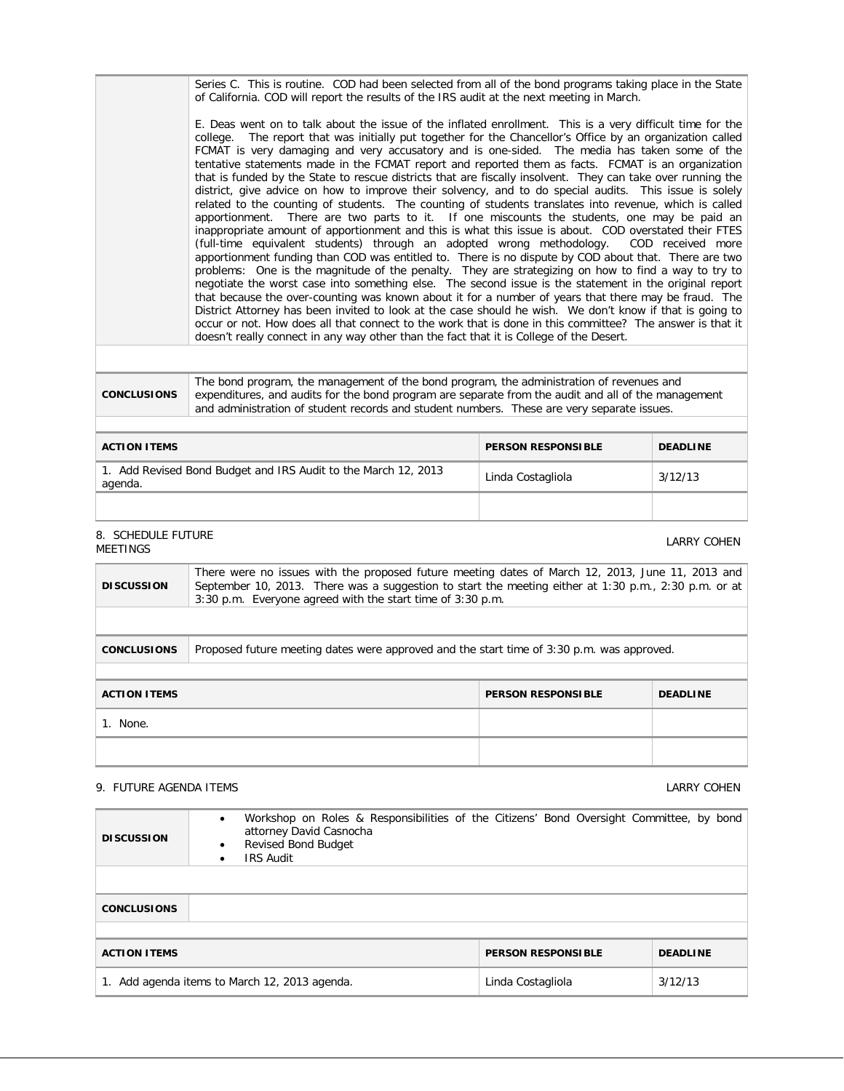|                    | Series C. This is routine. COD had been selected from all of the bond programs taking place in the State<br>of California. COD will report the results of the IRS audit at the next meeting in March.                                                                                                                                                                                                                                                                                                                                                                                                                                                                                                                                                                                                                                                                                                                                                                                                                                                                                                                                                                                                                                                                                                                                                                                                                                                                                                                                                                                                                                                                                                                                                                                                                   |
|--------------------|-------------------------------------------------------------------------------------------------------------------------------------------------------------------------------------------------------------------------------------------------------------------------------------------------------------------------------------------------------------------------------------------------------------------------------------------------------------------------------------------------------------------------------------------------------------------------------------------------------------------------------------------------------------------------------------------------------------------------------------------------------------------------------------------------------------------------------------------------------------------------------------------------------------------------------------------------------------------------------------------------------------------------------------------------------------------------------------------------------------------------------------------------------------------------------------------------------------------------------------------------------------------------------------------------------------------------------------------------------------------------------------------------------------------------------------------------------------------------------------------------------------------------------------------------------------------------------------------------------------------------------------------------------------------------------------------------------------------------------------------------------------------------------------------------------------------------|
|                    | E. Deas went on to talk about the issue of the inflated enrollment. This is a very difficult time for the<br>college. The report that was initially put together for the Chancellor's Office by an organization called<br>FCMAT is very damaging and very accusatory and is one-sided. The media has taken some of the<br>tentative statements made in the FCMAT report and reported them as facts. FCMAT is an organization<br>that is funded by the State to rescue districts that are fiscally insolvent. They can take over running the<br>district, give advice on how to improve their solvency, and to do special audits. This issue is solely<br>related to the counting of students. The counting of students translates into revenue, which is called<br>apportionment. There are two parts to it. If one miscounts the students, one may be paid an<br>inappropriate amount of apportionment and this is what this issue is about. COD overstated their FTES<br>(full-time equivalent students) through an adopted wrong methodology. COD received more<br>apportionment funding than COD was entitled to. There is no dispute by COD about that. There are two<br>problems: One is the magnitude of the penalty. They are strategizing on how to find a way to try to<br>negotiate the worst case into something else. The second issue is the statement in the original report<br>that because the over-counting was known about it for a number of years that there may be fraud. The<br>District Attorney has been invited to look at the case should he wish. We don't know if that is going to<br>occur or not. How does all that connect to the work that is done in this committee? The answer is that it<br>doesn't really connect in any way other than the fact that it is College of the Desert. |
|                    |                                                                                                                                                                                                                                                                                                                                                                                                                                                                                                                                                                                                                                                                                                                                                                                                                                                                                                                                                                                                                                                                                                                                                                                                                                                                                                                                                                                                                                                                                                                                                                                                                                                                                                                                                                                                                         |
| <b>CONCLUSIONS</b> | The bond program, the management of the bond program, the administration of revenues and<br>expenditures, and audits for the bond program are separate from the audit and all of the management                                                                                                                                                                                                                                                                                                                                                                                                                                                                                                                                                                                                                                                                                                                                                                                                                                                                                                                                                                                                                                                                                                                                                                                                                                                                                                                                                                                                                                                                                                                                                                                                                         |

and administration of student records and student numbers. These are very separate issues.

| <b>ACTION ITEMS</b>                                                    | <b>PERSON RESPONSIBLE</b> | <b>DEADLINE</b> |
|------------------------------------------------------------------------|---------------------------|-----------------|
| Add Revised Bond Budget and IRS Audit to the March 12, 2013<br>agenda. | Linda Costagliola         | 3/12/13         |
|                                                                        |                           |                 |

# 8. SCHEDULE FUTURE<br>MEETINGS

| There were no issues with the proposed future meeting dates of March 12, 2013, June 11, 2013 and<br>September 10, 2013. There was a suggestion to start the meeting either at 1:30 p.m., 2:30 p.m. or at<br><b>DISCUSSION</b><br>3:30 p.m. Everyone agreed with the start time of 3:30 p.m. |                                                                                           |                           |                 |  |  |
|---------------------------------------------------------------------------------------------------------------------------------------------------------------------------------------------------------------------------------------------------------------------------------------------|-------------------------------------------------------------------------------------------|---------------------------|-----------------|--|--|
|                                                                                                                                                                                                                                                                                             |                                                                                           |                           |                 |  |  |
| <b>CONCLUSIONS</b>                                                                                                                                                                                                                                                                          | Proposed future meeting dates were approved and the start time of 3:30 p.m. was approved. |                           |                 |  |  |
|                                                                                                                                                                                                                                                                                             |                                                                                           |                           |                 |  |  |
| <b>ACTION ITEMS</b>                                                                                                                                                                                                                                                                         |                                                                                           | <b>PERSON RESPONSIBLE</b> | <b>DEADLINE</b> |  |  |
| 1. None.                                                                                                                                                                                                                                                                                    |                                                                                           |                           |                 |  |  |
|                                                                                                                                                                                                                                                                                             |                                                                                           |                           |                 |  |  |

# 9. FUTURE AGENDA ITEMS COMENAGERS AND THE SERIES OF STATES AND THE SERIES OF LARRY COMENAGERS AND LARRY COMEN

| <b>DISCUSSION</b>                                | Workshop on Roles & Responsibilities of the Citizens' Bond Oversight Committee, by bond<br>$\bullet$<br>attorney David Casnocha<br><b>Revised Bond Budget</b><br>$\bullet$<br><b>IRS Audit</b><br>$\bullet$ |                           |                 |  |
|--------------------------------------------------|-------------------------------------------------------------------------------------------------------------------------------------------------------------------------------------------------------------|---------------------------|-----------------|--|
| <b>CONCLUSIONS</b>                               |                                                                                                                                                                                                             |                           |                 |  |
| <b>ACTION ITEMS</b>                              |                                                                                                                                                                                                             | <b>PERSON RESPONSIBLE</b> | <b>DEADLINE</b> |  |
| Add agenda items to March 12, 2013 agenda.<br>1. |                                                                                                                                                                                                             | Linda Costagliola         | 3/12/13         |  |